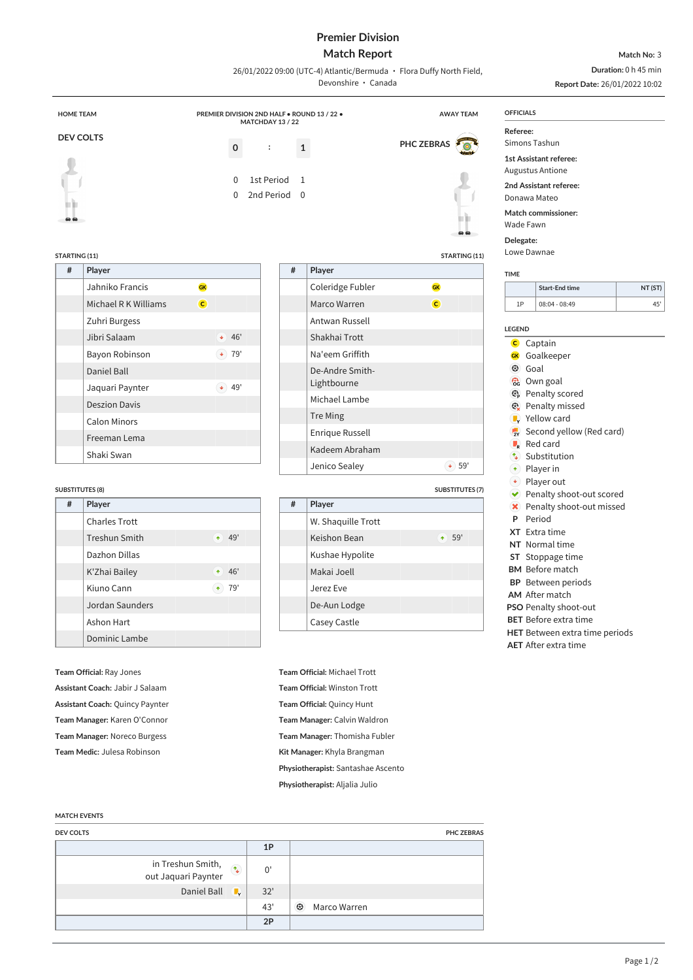# **Premier Division**

## **Match Report** 26/01/2022 09:00 (UTC-4) Atlantic/Bermuda · Flora Duffy North Field,

**Match No:** 3 **Duration:** 0 h 45 min

|                                      |                     |                   |                                                                 | Devonshire · Canada          |                        |                 | Report Date: 26/01/2022 10:02                                |         |
|--------------------------------------|---------------------|-------------------|-----------------------------------------------------------------|------------------------------|------------------------|-----------------|--------------------------------------------------------------|---------|
| <b>HOME TEAM</b>                     |                     | MATCHDAY 13 / 22  | PREMIER DIVISION 2ND HALF . ROUND 13 / 22 .<br><b>AWAY TEAM</b> |                              |                        |                 | <b>OFFICIALS</b>                                             |         |
| <b>DEV COLTS</b>                     |                     |                   |                                                                 |                              |                        | Referee:        |                                                              |         |
|                                      |                     | $\mathbf 0$<br>:  | $\mathbf{1}$                                                    |                              | PHC ZEBRAS             |                 | Simons Tashun                                                |         |
|                                      |                     |                   |                                                                 |                              |                        |                 | <b>1st Assistant referee:</b>                                |         |
|                                      |                     | 1st Period<br>0   | 1                                                               |                              |                        |                 | <b>Augustus Antione</b>                                      |         |
|                                      |                     | 0<br>2nd Period 0 |                                                                 |                              |                        |                 | 2nd Assistant referee:<br>Donawa Mateo                       |         |
|                                      |                     |                   |                                                                 |                              |                        |                 | Match commissioner:                                          |         |
|                                      |                     |                   |                                                                 |                              |                        |                 | Wade Fawn                                                    |         |
|                                      |                     |                   |                                                                 |                              |                        | Delegate:       |                                                              |         |
| STARTING (11)                        |                     |                   |                                                                 |                              | STARTING (11)          |                 | Lowe Dawnae                                                  |         |
| $\#$<br>Player                       |                     |                   | $\#$<br>Player                                                  |                              |                        | <b>TIME</b>     |                                                              |         |
| Jahniko Francis                      | GK                  |                   |                                                                 | Coleridge Fubler             | <b>GK</b>              |                 | <b>Start-End time</b>                                        | NT (ST) |
| Michael R K Williams                 | $\overline{c}$      |                   |                                                                 | Marco Warren                 | $\mathbf{C}$           | 1P              | 08:04 - 08:49                                                | 45'     |
| Zuhri Burgess                        |                     |                   |                                                                 | Antwan Russell               |                        |                 |                                                              |         |
| Jibri Salaam                         | $+ 46'$             |                   |                                                                 | Shakhai Trott                |                        | <b>LEGEND</b>   |                                                              |         |
| Bayon Robinson                       | $\blacklozenge$ 79' |                   |                                                                 | Na'eem Griffith              |                        | GK              | <b>C</b> Captain<br>Goalkeeper                               |         |
| Daniel Ball                          |                     |                   |                                                                 | De-Andre Smith-              |                        |                 | <b>3</b> Goal                                                |         |
| Jaquari Paynter                      | $(4)$ 49'           |                   |                                                                 | Lightbourne                  |                        |                 | <b>c</b> Own goal                                            |         |
| <b>Deszion Davis</b>                 |                     |                   |                                                                 | Michael Lambe                |                        |                 | <b>B</b> Penalty scored                                      |         |
|                                      |                     |                   | <b>Tre Ming</b>                                                 |                              |                        |                 | <b>@</b> Penalty missed<br>$\blacktriangleright$ Yellow card |         |
| <b>Calon Minors</b>                  |                     |                   |                                                                 | Enrique Russell              |                        | $\overline{2Y}$ | Second yellow (Red card)                                     |         |
| Freeman Lema                         |                     |                   |                                                                 | Kadeem Abraham               |                        |                 | $\blacksquare$ Red card                                      |         |
|                                      |                     |                   |                                                                 |                              |                        |                 | ↑ Substitution                                               |         |
| Shaki Swan                           |                     |                   |                                                                 |                              |                        |                 |                                                              |         |
|                                      |                     |                   |                                                                 | Jenico Sealey                | $\bullet$ 59'          |                 | $\bullet$ Player in                                          |         |
|                                      |                     |                   |                                                                 |                              | <b>SUBSTITUTES (7)</b> |                 | $\leftrightarrow$ Player out<br>◆ Penalty shoot-out scored   |         |
| #<br>Player                          |                     |                   | #<br>Player                                                     |                              |                        |                 | × Penalty shoot-out missed                                   |         |
| <b>Charles Trott</b>                 |                     |                   |                                                                 | W. Shaquille Trott           |                        | P               | Period                                                       |         |
| Treshun Smith                        | $+ 49'$             |                   |                                                                 | Keishon Bean                 | $+ 59'$                |                 | XT Extra time                                                |         |
| Dazhon Dillas                        |                     |                   |                                                                 | Kushae Hypolite              |                        |                 | NT Normal time<br>ST Stoppage time                           |         |
| K'Zhai Bailey                        | $+ 46'$             |                   |                                                                 | Makai Joell                  |                        |                 | <b>BM</b> Before match                                       |         |
| Kiuno Cann                           | $\bullet$ 79'       |                   |                                                                 | Jerez Eve                    |                        |                 | <b>BP</b> Between periods                                    |         |
| Jordan Saunders                      |                     |                   |                                                                 |                              |                        |                 | <b>AM</b> After match                                        |         |
| <b>SUBSTITUTES (8)</b><br>Ashon Hart |                     |                   |                                                                 | De-Aun Lodge<br>Casey Castle |                        |                 | PSO Penalty shoot-out<br><b>BET</b> Before extra time        |         |

### **MATCH EVENTS**

| <b>DEV COLTS</b>                                  |     | <b>PHC ZEBRAS</b>       |
|---------------------------------------------------|-----|-------------------------|
|                                                   | 1P  |                         |
| in Treshun Smith, $\infty$<br>out Jaquari Paynter | 0'  |                         |
| Daniel Ball $\overline{\phantom{a}}$              | 32' |                         |
|                                                   | 43' | $\odot$<br>Marco Warren |
|                                                   | 2P  |                         |